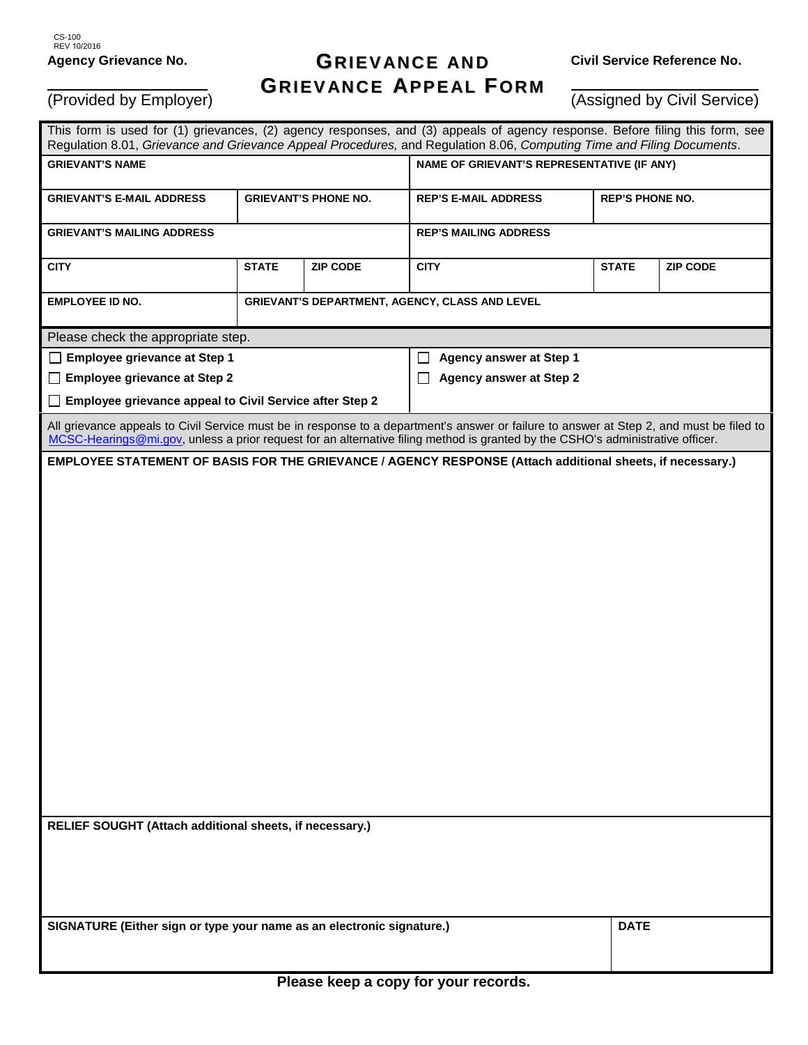(Provided by Employer)

## **GRI EVANCE AND GRI EVANCE APPEAL F ORM**

**Civil Service Reference No.**

(Assigned by Civil Service)

| This form is used for (1) grievances, (2) agency responses, and (3) appeals of agency response. Before filing this form, see<br>Regulation 8.01, Grievance and Grievance Appeal Procedures, and Regulation 8.06, Computing Time and Filing Documents.                      |                                                |                 |                                                  |              |                        |  |
|----------------------------------------------------------------------------------------------------------------------------------------------------------------------------------------------------------------------------------------------------------------------------|------------------------------------------------|-----------------|--------------------------------------------------|--------------|------------------------|--|
| <b>GRIEVANT'S NAME</b>                                                                                                                                                                                                                                                     |                                                |                 | NAME OF GRIEVANT'S REPRESENTATIVE (IF ANY)       |              |                        |  |
| <b>GRIEVANT'S E-MAIL ADDRESS</b>                                                                                                                                                                                                                                           | <b>GRIEVANT'S PHONE NO.</b>                    |                 | <b>REP'S E-MAIL ADDRESS</b>                      |              | <b>REP'S PHONE NO.</b> |  |
| <b>GRIEVANT'S MAILING ADDRESS</b>                                                                                                                                                                                                                                          |                                                |                 | <b>REP'S MAILING ADDRESS</b>                     |              |                        |  |
| <b>CITY</b>                                                                                                                                                                                                                                                                | <b>STATE</b>                                   | <b>ZIP CODE</b> | <b>CITY</b>                                      | <b>STATE</b> | <b>ZIP CODE</b>        |  |
| EMPLOYEE ID NO.                                                                                                                                                                                                                                                            | GRIEVANT'S DEPARTMENT, AGENCY, CLASS AND LEVEL |                 |                                                  |              |                        |  |
| Please check the appropriate step.                                                                                                                                                                                                                                         |                                                |                 |                                                  |              |                        |  |
| □ Employee grievance at Step 1                                                                                                                                                                                                                                             |                                                |                 | <b>Agency answer at Step 1</b><br>$\blacksquare$ |              |                        |  |
| $\Box$ Employee grievance at Step 2                                                                                                                                                                                                                                        |                                                |                 | <b>Agency answer at Step 2</b>                   |              |                        |  |
| Employee grievance appeal to Civil Service after Step 2<br>$\perp$                                                                                                                                                                                                         |                                                |                 |                                                  |              |                        |  |
| All grievance appeals to Civil Service must be in response to a department's answer or failure to answer at Step 2, and must be filed to<br>MCSC-Hearings@mi.gov, unless a prior request for an alternative filing method is granted by the CSHO's administrative officer. |                                                |                 |                                                  |              |                        |  |
| EMPLOYEE STATEMENT OF BASIS FOR THE GRIEVANCE / AGENCY RESPONSE (Attach additional sheets, if necessary.)                                                                                                                                                                  |                                                |                 |                                                  |              |                        |  |
|                                                                                                                                                                                                                                                                            |                                                |                 |                                                  |              |                        |  |
|                                                                                                                                                                                                                                                                            |                                                |                 |                                                  |              |                        |  |
|                                                                                                                                                                                                                                                                            |                                                |                 |                                                  |              |                        |  |
|                                                                                                                                                                                                                                                                            |                                                |                 |                                                  |              |                        |  |
|                                                                                                                                                                                                                                                                            |                                                |                 |                                                  |              |                        |  |
|                                                                                                                                                                                                                                                                            |                                                |                 |                                                  |              |                        |  |
|                                                                                                                                                                                                                                                                            |                                                |                 |                                                  |              |                        |  |
|                                                                                                                                                                                                                                                                            |                                                |                 |                                                  |              |                        |  |
|                                                                                                                                                                                                                                                                            |                                                |                 |                                                  |              |                        |  |
|                                                                                                                                                                                                                                                                            |                                                |                 |                                                  |              |                        |  |
|                                                                                                                                                                                                                                                                            |                                                |                 |                                                  |              |                        |  |
|                                                                                                                                                                                                                                                                            |                                                |                 |                                                  |              |                        |  |
|                                                                                                                                                                                                                                                                            |                                                |                 |                                                  |              |                        |  |
|                                                                                                                                                                                                                                                                            |                                                |                 |                                                  |              |                        |  |
|                                                                                                                                                                                                                                                                            |                                                |                 |                                                  |              |                        |  |
|                                                                                                                                                                                                                                                                            |                                                |                 |                                                  |              |                        |  |
|                                                                                                                                                                                                                                                                            |                                                |                 |                                                  |              |                        |  |
| RELIEF SOUGHT (Attach additional sheets, if necessary.)                                                                                                                                                                                                                    |                                                |                 |                                                  |              |                        |  |
|                                                                                                                                                                                                                                                                            |                                                |                 |                                                  |              |                        |  |
|                                                                                                                                                                                                                                                                            |                                                |                 |                                                  |              |                        |  |
|                                                                                                                                                                                                                                                                            |                                                |                 |                                                  |              |                        |  |
|                                                                                                                                                                                                                                                                            |                                                |                 |                                                  |              |                        |  |
| SIGNATURE (Either sign or type your name as an electronic signature.)                                                                                                                                                                                                      |                                                |                 |                                                  |              | <b>DATE</b>            |  |
|                                                                                                                                                                                                                                                                            |                                                |                 |                                                  |              |                        |  |